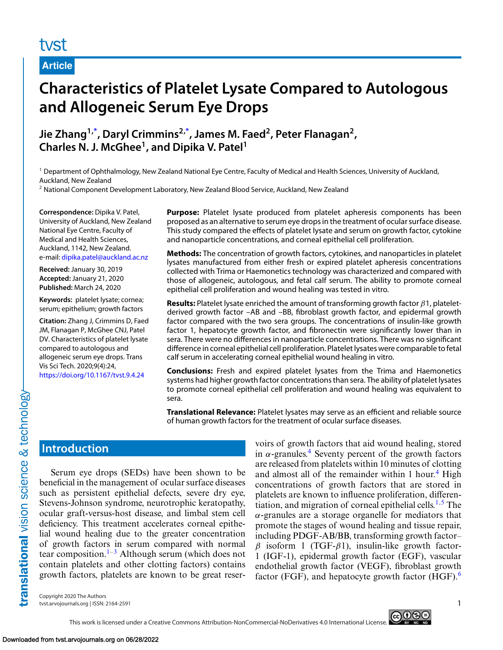# tyst

**Article**

# **Characteristics of Platelet Lysate Compared to Autologous and Allogeneic Serum Eye Drops**

**Jie Zhang1[,\\*](#page-8-0) , Daryl Crimmins2[,\\*](#page-8-0) , James M. Faed2, Peter Flanagan2, Charles N. J. McGhee1, and Dipika V. Patel1**

<sup>1</sup> Department of Ophthalmology, New Zealand National Eye Centre, Faculty of Medical and Health Sciences, University of Auckland, Auckland, New Zealand

<sup>2</sup> National Component Development Laboratory, New Zealand Blood Service, Auckland, New Zealand

**Correspondence:** Dipika V. Patel, University of Auckland, New Zealand National Eye Centre, Faculty of Medical and Health Sciences, Auckland, 1142, New Zealand. e-mail: [dipika.patel@auckland.ac.nz](mailto:dipika.patel@auckland.ac.nz)

**Received:** January 30, 2019 **Accepted:** January 21, 2020 **Published:** March 24, 2020

**Keywords:** platelet lysate; cornea; serum; epithelium; growth factors

**Citation:** Zhang J, Crimmins D, Faed JM, Flanagan P, McGhee CNJ, Patel DV. Characteristics of platelet lysate compared to autologous and allogeneic serum eye drops. Trans Vis Sci Tech. 2020;9(4):24, <https://doi.org/10.1167/tvst.9.4.24>

**Purpose:** Platelet lysate produced from platelet apheresis components has been proposed as an alternative to serum eye drops in the treatment of ocular surface disease. This study compared the effects of platelet lysate and serum on growth factor, cytokine and nanoparticle concentrations, and corneal epithelial cell proliferation.

**Methods:** The concentration of growth factors, cytokines, and nanoparticles in platelet lysates manufactured from either fresh or expired platelet apheresis concentrations collected with Trima or Haemonetics technology was characterized and compared with those of allogeneic, autologous, and fetal calf serum. The ability to promote corneal epithelial cell proliferation and wound healing was tested in vitro.

**Results:** Platelet lysate enriched the amount of transforming growth factor β1, plateletderived growth factor –AB and –BB, fibroblast growth factor, and epidermal growth factor compared with the two sera groups. The concentrations of insulin-like growth factor 1, hepatocyte growth factor, and fibronectin were significantly lower than in sera. There were no differences in nanoparticle concentrations. There was no significant difference in corneal epithelial cell proliferation. Platelet lysates were comparable to fetal calf serum in accelerating corneal epithelial wound healing in vitro.

**Conclusions:** Fresh and expired platelet lysates from the Trima and Haemonetics systems had higher growth factor concentrations than sera. The ability of platelet lysates to promote corneal epithelial cell proliferation and wound healing was equivalent to sera.

**Translational Relevance:** Platelet lysates may serve as an efficient and reliable source of human growth factors for the treatment of ocular surface diseases.

# **Introduction**

Serum eye drops (SEDs) have been shown to be beneficial in the management of ocular surface diseases such as persistent epithelial defects, severe dry eye, Stevens-Johnson syndrome, neurotrophic keratopathy, ocular graft-versus-host disease, and limbal stem cell deficiency. This treatment accelerates corneal epithelial wound healing due to the greater concentration of growth factors in serum compared with normal tear composition.<sup>1–3</sup> Although serum (which does not contain platelets and other clotting factors) contains growth factors, platelets are known to be great reser-

voirs of growth factors that aid wound healing, stored in  $\alpha$ -granules.<sup>[4](#page-8-0)</sup> Seventy percent of the growth factors are released from platelets within 10 minutes of clotting and almost all of the remainder within 1 hour.<sup>[4](#page-8-0)</sup> High concentrations of growth factors that are stored in platelets are known to influence proliferation, differen-tiation, and migration of corneal epithelial cells.<sup>[1,5](#page-8-0)</sup> The  $\alpha$ -granules are a storage organelle for mediators that promote the stages of wound healing and tissue repair, including PDGF-AB/BB, transforming growth factor–  $β$  isoform 1 (TGF- $β1$ ), insulin-like growth factor-1 (IGF-1), epidermal growth factor (EGF), vascular endothelial growth factor (VEGF), fibroblast growth factor (FGF), and hepatocyte growth factor (HGF). $6\overline{ }$ 

Copyright 2020 The Authors tvst.arvojournals.org | ISSN: 2164-2591 1

ெ®ெ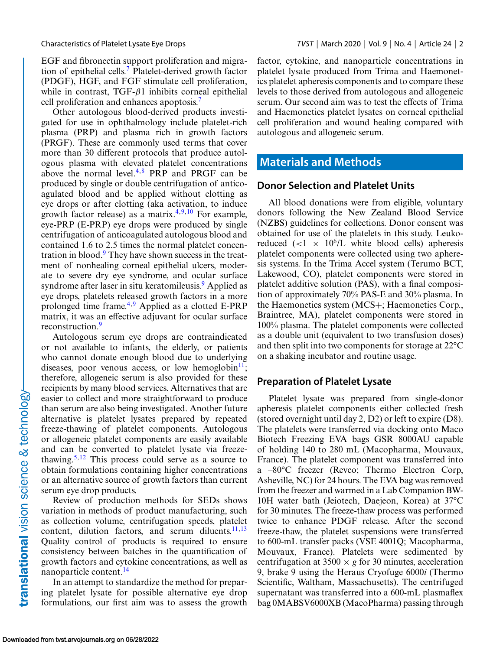EGF and fibronectin support proliferation and migration of epithelial cells.[7](#page-8-0) Platelet-derived growth factor (PDGF), HGF, and FGF stimulate cell proliferation, while in contrast,  $TGF- $\beta$ 1 inhibits corneal epithelial$ cell proliferation and enhances apoptosis.<sup>7</sup>

Other autologous blood-derived products investigated for use in ophthalmology include platelet-rich plasma (PRP) and plasma rich in growth factors (PRGF). These are commonly used terms that cover more than 30 different protocols that produce autologous plasma with elevated platelet concentrations above the normal level.[4,8](#page-8-0) PRP and PRGF can be produced by single or double centrifugation of anticoagulated blood and be applied without clotting as eye drops or after clotting (aka activation, to induce growth factor release) as a matrix.<sup>[4,9,10](#page-8-0)</sup> For example, eye-PRP (E-PRP) eye drops were produced by single centrifugation of anticoagulated autologous blood and contained 1.6 to 2.5 times the normal platelet concentration in blood. $9$  They have shown success in the treatment of nonhealing corneal epithelial ulcers, moderate to severe dry eye syndrome, and ocular surface syndrome after laser in situ keratomileusis.<sup>[9](#page-8-0)</sup> Applied as eye drops, platelets released growth factors in a more prolonged time frame.<sup>4,9</sup> Applied as a clotted E-PRP matrix, it was an effective adjuvant for ocular surface reconstruction.<sup>9</sup>

Autologous serum eye drops are contraindicated or not available to infants, the elderly, or patients who cannot donate enough blood due to underlying diseases, poor venous access, or low hemoglobin $11$ ; therefore, allogeneic serum is also provided for these recipients by many blood services. Alternatives that are easier to collect and more straightforward to produce than serum are also being investigated. Another future alternative is platelet lysates prepared by repeated freeze-thawing of platelet components. Autologous or allogeneic platelet components are easily available and can be converted to platelet lysate via freeze-thawing.<sup>[5,12](#page-8-0)</sup> This process could serve as a source to obtain formulations containing higher concentrations or an alternative source of growth factors than current serum eye drop products.

Review of production methods for SEDs shows variation in methods of product manufacturing, such as collection volume, centrifugation speeds, platelet content, dilution factors, and serum diluents. $11,13$ Quality control of products is required to ensure consistency between batches in the quantification of growth factors and cytokine concentrations, as well as nanoparticle content.<sup>14</sup>

In an attempt to standardize the method for preparing platelet lysate for possible alternative eye drop formulations, our first aim was to assess the growth factor, cytokine, and nanoparticle concentrations in platelet lysate produced from Trima and Haemonetics platelet apheresis components and to compare these levels to those derived from autologous and allogeneic serum. Our second aim was to test the effects of Trima and Haemonetics platelet lysates on corneal epithelial cell proliferation and wound healing compared with autologous and allogeneic serum.

# **Materials and Methods**

#### **Donor Selection and Platelet Units**

All blood donations were from eligible, voluntary donors following the New Zealand Blood Service (NZBS) guidelines for collections. Donor consent was obtained for use of the platelets in this study. Leukoreduced  $(<1 \times 10^6/L$  white blood cells) apheresis platelet components were collected using two apheresis systems. In the Trima Accel system (Terumo BCT, Lakewood, CO), platelet components were stored in platelet additive solution (PAS), with a final composition of approximately 70% PAS-E and 30% plasma. In the Haemonetics system (MCS+; Haemonetics Corp., Braintree, MA), platelet components were stored in 100% plasma. The platelet components were collected as a double unit (equivalent to two transfusion doses) and then split into two components for storage at 22°C on a shaking incubator and routine usage.

#### **Preparation of Platelet Lysate**

Platelet lysate was prepared from single-donor apheresis platelet components either collected fresh (stored overnight until day 2, D2) or left to expire (D8). The platelets were transferred via docking onto Maco Biotech Freezing EVA bags GSR 8000AU capable of holding 140 to 280 mL (Macopharma, Mouvaux, France). The platelet component was transferred into a –80°C freezer (Revco; Thermo Electron Corp, Asheville, NC) for 24 hours. The EVA bag was removed from the freezer and warmed in a Lab Companion BW-10H water bath (Jeiotech, Daejeon, Korea) at 37°C for 30 minutes. The freeze-thaw process was performed twice to enhance PDGF release. After the second freeze-thaw, the platelet suspensions were transferred to 600-mL transfer packs (VSE 4001Q; Macopharma, Mouvaux, France). Platelets were sedimented by centrifugation at  $3500 \times g$  for 30 minutes, acceleration 9, brake 9 using the Heraus Cryofuge 6000*i* (Thermo Scientific, Waltham, Massachusetts). The centrifuged supernatant was transferred into a 600-mL plasmaflex bag 0MABSV6000XB (MacoPharma) passing through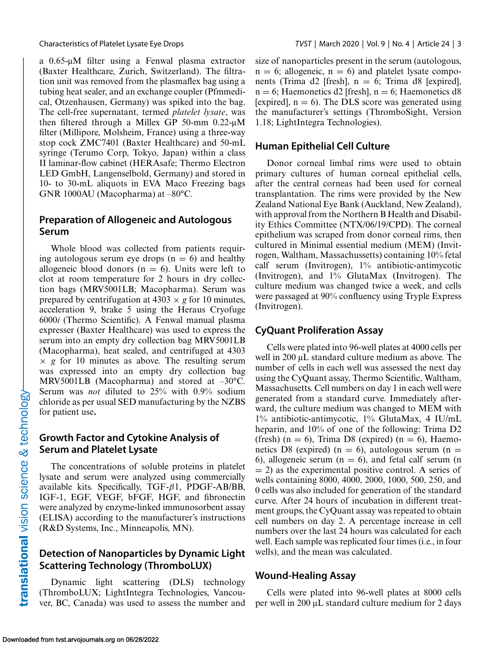a 0.65-μM filter using a Fenwal plasma extractor (Baxter Healthcare, Zurich, Switzerland). The filtration unit was removed from the plasmaflex bag using a tubing heat sealer, and an exchange coupler (Pfmmedical, Otzenhausen, Germany) was spiked into the bag. The cell-free supernatant, termed *platelet lysate*, was then filtered through a Millex GP 50-mm 0.22-μM filter (Millipore, Molsheim, France) using a three-way stop cock ZMC7401 (Baxter Healthcare) and 50-mL syringe (Terumo Corp, Tokyo, Japan) within a class II laminar-flow cabinet (HERAsafe; Thermo Electron LED GmbH, Langenselbold, Germany) and stored in 10- to 30-mL aliquots in EVA Maco Freezing bags GNR 1000AU (Macopharma) at –80°C.

#### **Preparation of Allogeneic and Autologous Serum**

Whole blood was collected from patients requiring autologous serum eye drops  $(n = 6)$  and healthy allogeneic blood donors ( $n = 6$ ). Units were left to clot at room temperature for 2 hours in dry collection bags (MRV5001LB; Macopharma). Serum was prepared by centrifugation at  $4303 \times g$  for 10 minutes, acceleration 9, brake 5 using the Heraus Cryofuge 6000*i* (Thermo Scientific). A Fenwal manual plasma expresser (Baxter Healthcare) was used to express the serum into an empty dry collection bag MRV5001LB (Macopharma), heat sealed, and centrifuged at 4303  $\times g$  for 10 minutes as above. The resulting serum was expressed into an empty dry collection bag MRV5001LB (Macopharma) and stored at –30°C. Serum was *not* diluted to 25% with 0.9% sodium chloride as per usual SED manufacturing by the NZBS for patient use**.**

#### **Growth Factor and Cytokine Analysis of Serum and Platelet Lysate**

The concentrations of soluble proteins in platelet lysate and serum were analyzed using commercially available kits. Specifically, TGF- $\beta$ 1, PDGF-AB/BB, IGF-1, EGF, VEGF, bFGF, HGF, and fibronectin were analyzed by enzyme-linked immunosorbent assay (ELISA) according to the manufacturer's instructions (R&D Systems, Inc., Minneapolis, MN).

#### **Detection of Nanoparticles by Dynamic Light Scattering Technology (ThromboLUX)**

Dynamic light scattering (DLS) technology (ThromboLUX; LightIntegra Technologies, Vancouver, BC, Canada) was used to assess the number and size of nanoparticles present in the serum (autologous,  $n = 6$ ; allogeneic,  $n = 6$ ) and platelet lysate components (Trima d2 [fresh],  $n = 6$ ; Trima d8 [expired],  $n = 6$ ; Haemonetics d2 [fresh],  $n = 6$ ; Haemonetics d8 [expired],  $n = 6$ ). The DLS score was generated using the manufacturer's settings (ThromboSight, Version 1.18; LightIntegra Technologies).

#### **Human Epithelial Cell Culture**

Donor corneal limbal rims were used to obtain primary cultures of human corneal epithelial cells, after the central corneas had been used for corneal transplantation. The rims were provided by the New Zealand National Eye Bank (Auckland, New Zealand), with approval from the Northern B Health and Disability Ethics Committee (NTX/06/19/CPD). The corneal epithelium was scraped from donor corneal rims, then cultured in Minimal essential medium (MEM) (Invitrogen, Waltham, Massachussetts) containing 10% fetal calf serum (Invitrogen), 1% antibiotic-antimycotic (Invitrogen), and 1% GlutaMax (Invitrogen). The culture medium was changed twice a week, and cells were passaged at 90% confluency using Tryple Express (Invitrogen).

### **CyQuant Proliferation Assay**

Cells were plated into 96-well plates at 4000 cells per well in 200 μL standard culture medium as above. The number of cells in each well was assessed the next day using the CyQuant assay, Thermo Scientific, Waltham, Massachusetts. Cell numbers on day 1 in each well were generated from a standard curve. Immediately afterward, the culture medium was changed to MEM with 1% antibiotic-antimycotic, 1% GlutaMax, 4 IU/mL heparin, and 10% of one of the following: Trima D2 (fresh) (n = 6), Trima D8 (expired) (n = 6), Haemonetics D8 (expired) ( $n = 6$ ), autologous serum ( $n =$ 6), allogeneic serum ( $n = 6$ ), and fetal calf serum ( $n = 6$ )  $= 2$ ) as the experimental positive control. A series of wells containing 8000, 4000, 2000, 1000, 500, 250, and 0 cells was also included for generation of the standard curve. After 24 hours of incubation in different treatment groups, the CyQuant assay was repeated to obtain cell numbers on day 2. A percentage increase in cell numbers over the last 24 hours was calculated for each well. Each sample was replicated four times (i.e., in four wells), and the mean was calculated.

#### **Wound-Healing Assay**

Cells were plated into 96-well plates at 8000 cells per well in 200 μL standard culture medium for 2 days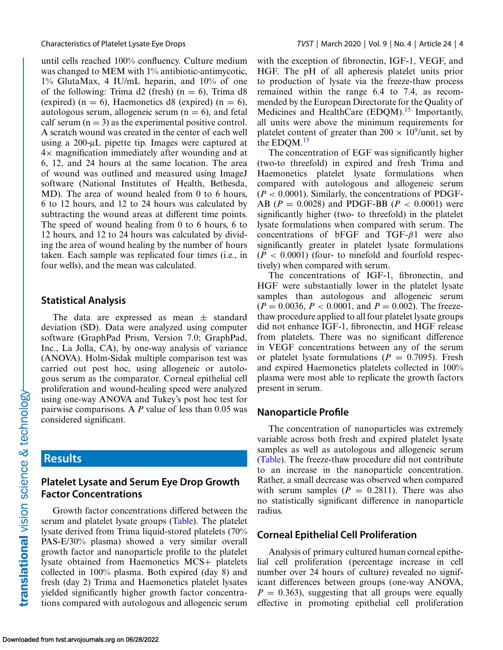until cells reached 100% confluency. Culture medium was changed to MEM with 1% antibiotic-antimycotic, 1% GlutaMax, 4 IU/mL heparin, and 10% of one of the following: Trima d2 (fresh) ( $n = 6$ ), Trima d8 (expired) (n = 6), Haemonetics d8 (expired) (n = 6), autologous serum, allogeneic serum  $(n = 6)$ , and fetal calf serum  $(n = 3)$  as the experimental positive control. A scratch wound was created in the center of each well using a 200-μL pipette tip. Images were captured at  $4\times$  magnification immediately after wounding and at 6, 12, and 24 hours at the same location. The area of wound was outlined and measured using ImageJ software (National Institutes of Health, Bethesda, MD). The area of wound healed from 0 to 6 hours, 6 to 12 hours, and 12 to 24 hours was calculated by subtracting the wound areas at different time points. The speed of wound healing from 0 to 6 hours, 6 to 12 hours, and 12 to 24 hours was calculated by dividing the area of wound healing by the number of hours taken. Each sample was replicated four times (i.e., in four wells), and the mean was calculated.

#### **Statistical Analysis**

The data are expressed as mean  $\pm$  standard deviation (SD). Data were analyzed using computer software (GraphPad Prism, Version 7.0; GraphPad, Inc., La Jolla, CA), by one-way analysis of variance (ANOVA). Holm-Sidak multiple comparison test was carried out post hoc, using allogeneic or autologous serum as the comparator. Corneal epithelial cell proliferation and wound-healing speed were analyzed using one-way ANOVA and Tukey's post hoc test for pairwise comparisons. A *P* value of less than 0.05 was considered significant.

# **Results**

#### **Platelet Lysate and Serum Eye Drop Growth Factor Concentrations**

Growth factor concentrations differed between the serum and platelet lysate groups [\(Table\)](#page-4-0). The platelet lysate derived from Trima liquid-stored platelets (70% PAS-E/30% plasma) showed a very similar overall growth factor and nanoparticle profile to the platelet lysate obtained from Haemonetics MCS+ platelets collected in 100% plasma. Both expired (day 8) and fresh (day 2) Trima and Haemonetics platelet lysates yielded significantly higher growth factor concentrations compared with autologous and allogeneic serum with the exception of fibronectin, IGF-1, VEGF, and HGF. The pH of all apheresis platelet units prior to production of lysate via the freeze-thaw process remained within the range 6.4 to 7.4, as recommended by the European Directorate for the Quality of Medicines and HealthCare  $(EDQM).<sup>15</sup>$  $(EDQM).<sup>15</sup>$  $(EDQM).<sup>15</sup>$  Importantly, all units were above the minimum requirements for platelet content of greater than  $200 \times 10^9/\text{unit}$ , set by the EDQM.<sup>[15](#page-8-0)</sup>

The concentration of EGF was significantly higher (two-to threefold) in expired and fresh Trima and Haemonetics platelet lysate formulations when compared with autologous and allogeneic serum  $(P < 0.0001)$ . Similarly, the concentrations of PDGF-AB ( $P = 0.0028$ ) and PDGF-BB ( $P < 0.0001$ ) were significantly higher (two- to threefold) in the platelet lysate formulations when compared with serum. The concentrations of bFGF and TGF- $\beta$ 1 were also significantly greater in platelet lysate formulations  $(P < 0.0001)$  (four- to ninefold and fourfold respectively) when compared with serum.

The concentrations of IGF-1, fibronectin, and HGF were substantially lower in the platelet lysate samples than autologous and allogeneic serum  $(P = 0.0036, P < 0.0001, \text{ and } P = 0.002)$ . The freezethaw procedure applied to all four platelet lysate groups did not enhance IGF-1, fibronectin, and HGF release from platelets. There was no significant difference in VEGF concentrations between any of the serum or platelet lysate formulations  $(P = 0.7095)$ . Fresh and expired Haemonetics platelets collected in 100% plasma were most able to replicate the growth factors present in serum.

#### **Nanoparticle Profile**

The concentration of nanoparticles was extremely variable across both fresh and expired platelet lysate samples as well as autologous and allogeneic serum [\(Table\)](#page-4-0). The freeze-thaw procedure did not contribute to an increase in the nanoparticle concentration. Rather, a small decrease was observed when compared with serum samples  $(P = 0.2811)$ . There was also no statistically significant difference in nanoparticle radius.

#### **Corneal Epithelial Cell Proliferation**

Analysis of primary cultured human corneal epithelial cell proliferation (percentage increase in cell number over 24 hours of culture) revealed no significant differences between groups (one-way ANOVA,  $P = 0.363$ , suggesting that all groups were equally effective in promoting epithelial cell proliferation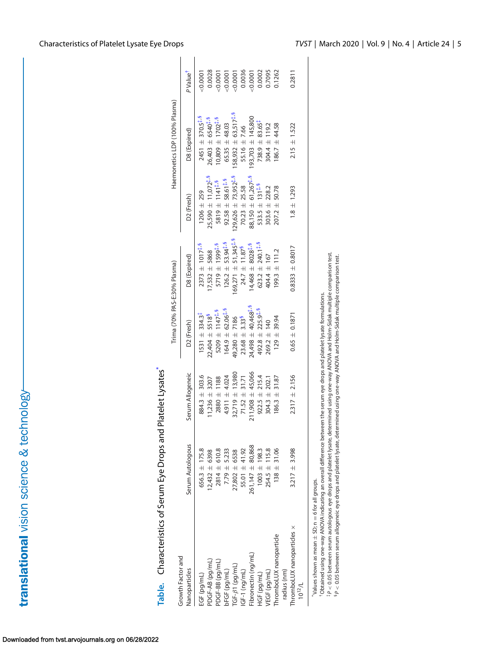<span id="page-4-0"></span>

| Table. Characteristics of Serum Eye Drops and Platelet Lysates* |                      |                      |                                      |                                    |                                    |                                                           |                      |
|-----------------------------------------------------------------|----------------------|----------------------|--------------------------------------|------------------------------------|------------------------------------|-----------------------------------------------------------|----------------------|
| Growth Factor and                                               |                      |                      | Trima (70% PAS-E:30% Plasma)         |                                    |                                    | Haemonetics LDP (100% Plasma)                             |                      |
| Nanoparticles                                                   | Serum Autologous     | Serum Allogeneic     | D <sub>2</sub> (Fresh)               | D8 (Expired)                       | D2 (Fresh)                         | D8 (Expired)                                              | P Value <sup>T</sup> |
| EGF (pg/mL)                                                     | $656.3 \pm 175.8$    | $884.3 \pm 303.6$    | $1531 \pm 334.3$                     | $2373 \pm 1017^{\frac{4}{10}}$     | $1206 \pm 259$                     | $2451 \pm 370.5^{1.9}$                                    | $-0.0001$            |
| PDGF-AB (pg/mL)                                                 | $12,432 \pm 6398$    | $1,236 \pm 3207$     | $22,404 \pm 5518$ <sup>5</sup>       | $7,532 \pm 5868$                   | $25,590 \pm 11,072^{1.9}$          | $26,403 \pm 6540$ <sup>1</sup> , 5                        | 0.0028               |
| PDGF-BB (pg/mL)                                                 | $2814 \pm 610.8$     | $2880 \pm 1188$      | 5209 $\pm$ 1147 <sup>‡, §</sup>      | $5719 \pm 1599^{1.9}$              | 5819 ± 1141 <sup>‡,5</sup>         | $10,809 \pm 1702^{\frac{1}{4},5}$                         | 0.0001               |
| bFGF (pg/mL)                                                    | $7.79 \pm 5.233$     | 4.911 ± 4.024        | $164.9 \pm 62.06^{1.9}$              | $126.2 + 53.94†, 5$                | $92.58 \pm 58.61$ <sup>1,5</sup>   | $65.35 \pm 48.03$                                         | 0.0001               |
| $TGF-\beta$ 1 (pg/mL)                                           | $27,802 \pm 6538$    | $32,719 \pm 13,980$  | 49,280 ± 7186                        | $69,271 \pm 51,345$ <sup>1,5</sup> | $29,626 \pm 73,952^{1.9}$          | $58,932 \pm 63,517^{\text{\texttt{1}},\text{\texttt{5}}}$ | 0.0001               |
| $IGF-1$ (ng/mL)                                                 | 55.01 ± 41.92        | $71.52 \pm 31.71$    | $23.68 \pm 3.33^9$                   | $24.7 \pm 11.87^5$                 | $70.23 \pm 25.58$                  | 55.16 $\pm$ 7.66                                          | 0.0036               |
| Fibronectin (ng/mL)                                             | $261,147 \pm 80,868$ | $211,908 \pm 45,066$ | $24,498 \pm 40,468$ <sup>1</sup> , 5 | $4,468 \pm 8028$ <sup>1,5</sup>    | $88,150 \pm 61,267$ <sup>1,5</sup> | $93,703 \pm 145,800$                                      | 0.0001               |
| HGF (pg/mL)                                                     | $1003 \pm 198.3$     | $922.5 \pm 215.4$    | $492.8 \pm 225.9$ <sup>1,5</sup>     | 623.2 $\pm$ 240.1 <sup>1,5</sup>   | $533.5 \pm 131^{1.9}$              | $738.9 \pm 83.65$ <sup>1</sup>                            | 0.0002               |
| <b>JEGF</b> (pg/mL)                                             | $254.5 \pm 115.8$    | $304.3 \pm 202.1$    | $269.2 \pm 140$                      | 404.4 ± 167                        | $303.6 \pm 228.2$                  | 304.4 ± 119.2                                             | 0.7095               |
| ThromboLUX nanoparticle<br>radius (nm)                          | $138 \pm 31.06$      | 31.87<br>$186.3 \pm$ | $129 + 39.94$                        | $199.3 \pm 111.2$                  | $207.2 \pm 50.78$                  | 44.58<br>$186.7 \pm$                                      | 0.1262               |
| ThromboLUX nanoparticles x<br>$10^{12}$ /L                      | $3.217 \pm 3.998$    | $2.317 \pm 2.156$    | $0.65 \pm 0.1871$                    | $0.8333 \pm 0.8017$                | $1.8 \pm 1.293$                    | $2.15 \pm 1.522$                                          | 0.2811               |
|                                                                 |                      |                      |                                      |                                    |                                    |                                                           |                      |

Characteristics of Serum Eye Drops and Platelet Lysates\* Table.

\*Values shown as mean  $\pm$  SD; n  $=$ = 6 for all groups.

†Obtained using one-way ANOVA indicating an overall difference between the serum eye drops and platelet lysate formulations.

f P < 0.05 between serum autologous eye drops and platelet lysate, determined using one-way ANOVA and Holm-Sidak multiple comparison test.<br>∮P < 0.05 between serum allogeneic eye drops and platelet lysate, determined using <sup>5</sup>P < 0.05 between serum allogeneic eye drops and platelet lysate, determined using one-way ANOVA and Holm-Sidak multiple comparison test.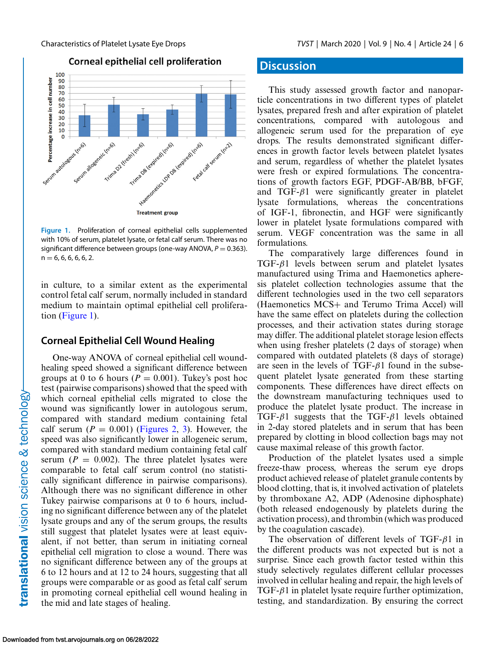Corneal epithelial cell proliferation



**Figure 1.** Proliferation of corneal epithelial cells supplemented with 10% of serum, platelet lysate, or fetal calf serum. There was no significant difference between groups (one-way ANOVA,  $P = 0.363$ ).  $n = 6, 6, 6, 6, 6, 2.$ 

in culture, to a similar extent as the experimental control fetal calf serum, normally included in standard medium to maintain optimal epithelial cell proliferation (Figure 1).

#### **Corneal Epithelial Cell Wound Healing**

One-way ANOVA of corneal epithelial cell woundhealing speed showed a significant difference between groups at 0 to 6 hours ( $P = 0.001$ ). Tukey's post hoc test (pairwise comparisons) showed that the speed with which corneal epithelial cells migrated to close the wound was significantly lower in autologous serum, compared with standard medium containing fetal calf serum  $(P = 0.001)$  [\(Figures 2,](#page-6-0) [3\)](#page-7-0). However, the speed was also significantly lower in allogeneic serum, compared with standard medium containing fetal calf serum ( $P = 0.002$ ). The three platelet lysates were comparable to fetal calf serum control (no statistically significant difference in pairwise comparisons). Although there was no significant difference in other Tukey pairwise comparisons at 0 to 6 hours, including no significant difference between any of the platelet lysate groups and any of the serum groups, the results still suggest that platelet lysates were at least equivalent, if not better, than serum in initiating corneal epithelial cell migration to close a wound. There was no significant difference between any of the groups at 6 to 12 hours and at 12 to 24 hours, suggesting that all groups were comparable or as good as fetal calf serum in promoting corneal epithelial cell wound healing in the mid and late stages of healing.

## **Discussion**

This study assessed growth factor and nanoparticle concentrations in two different types of platelet lysates, prepared fresh and after expiration of platelet concentrations, compared with autologous and allogeneic serum used for the preparation of eye drops. The results demonstrated significant differences in growth factor levels between platelet lysates and serum, regardless of whether the platelet lysates were fresh or expired formulations. The concentrations of growth factors EGF, PDGF-AB/BB, bFGF, and TGF- $\beta$ 1 were significantly greater in platelet lysate formulations, whereas the concentrations of IGF-1, fibronectin, and HGF were significantly lower in platelet lysate formulations compared with serum. VEGF concentration was the same in all formulations.

The comparatively large differences found in TGF-β1 levels between serum and platelet lysates manufactured using Trima and Haemonetics apheresis platelet collection technologies assume that the different technologies used in the two cell separators (Haemonetics MCS+ and Terumo Trima Accel) will have the same effect on platelets during the collection processes, and their activation states during storage may differ. The additional platelet storage lesion effects when using fresher platelets (2 days of storage) when compared with outdated platelets (8 days of storage) are seen in the levels of TGF- $\beta$ 1 found in the subsequent platelet lysate generated from these starting components. These differences have direct effects on the downstream manufacturing techniques used to produce the platelet lysate product. The increase in TGF- $\beta$ 1 suggests that the TGF- $\beta$ 1 levels obtained in 2-day stored platelets and in serum that has been prepared by clotting in blood collection bags may not cause maximal release of this growth factor.

Production of the platelet lysates used a simple freeze-thaw process, whereas the serum eye drops product achieved release of platelet granule contents by blood clotting, that is, it involved activation of platelets by thromboxane A2, ADP (Adenosine diphosphate) (both released endogenously by platelets during the activation process), and thrombin (which was produced by the coagulation cascade).

The observation of different levels of TGF- $\beta$ 1 in the different products was not expected but is not a surprise. Since each growth factor tested within this study selectively regulates different cellular processes involved in cellular healing and repair, the high levels of TGF- $\beta$ 1 in platelet lysate require further optimization, testing, and standardization. By ensuring the correct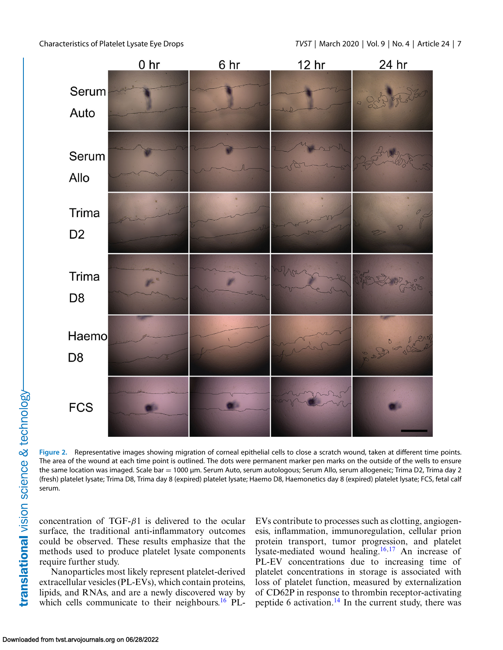<span id="page-6-0"></span>



translational vision science & technology

**Figure 2.** Representative images showing migration of corneal epithelial cells to close a scratch wound, taken at different time points. The area of the wound at each time point is outlined. The dots were permanent marker pen marks on the outside of the wells to ensure the same location was imaged. Scale bar = 1000 μm. Serum Auto, serum autologous; Serum Allo, serum allogeneic; Trima D2, Trima day 2 (fresh) platelet lysate; Trima D8, Trima day 8 (expired) platelet lysate; Haemo D8, Haemonetics day 8 (expired) platelet lysate; FCS, fetal calf serum.

concentration of TGF- $\beta$ 1 is delivered to the ocular surface, the traditional anti-inflammatory outcomes could be observed. These results emphasize that the methods used to produce platelet lysate components require further study.

Nanoparticles most likely represent platelet-derived extracellular vesicles (PL-EVs), which contain proteins, lipids, and RNAs, and are a newly discovered way by which cells communicate to their neighbours.<sup>[16](#page-8-0)</sup> PL-

EVs contribute to processes such as clotting, angiogenesis, inflammation, immunoregulation, cellular prion protein transport, tumor progression, and platelet lysate-mediated wound healing[.16,17](#page-8-0) An increase of PL-EV concentrations due to increasing time of platelet concentrations in storage is associated with loss of platelet function, measured by externalization of CD62P in response to thrombin receptor-activating peptide 6 activation.[14](#page-8-0) In the current study, there was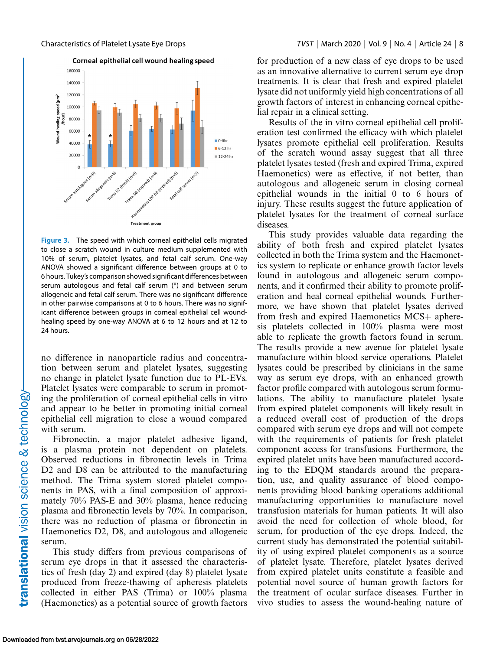<span id="page-7-0"></span>

**Figure 3.** The speed with which corneal epithelial cells migrated to close a scratch wound in culture medium supplemented with 10% of serum, platelet lysates, and fetal calf serum. One-way ANOVA showed a significant difference between groups at 0 to 6 hours. Tukey's comparison showed significant differences between serum autologous and fetal calf serum (\*) and between serum allogeneic and fetal calf serum. There was no significant difference in other pairwise comparisons at 0 to 6 hours. There was no significant difference between groups in corneal epithelial cell woundhealing speed by one-way ANOVA at 6 to 12 hours and at 12 to 24 hours.

no difference in nanoparticle radius and concentration between serum and platelet lysates, suggesting no change in platelet lysate function due to PL-EVs. Platelet lysates were comparable to serum in promoting the proliferation of corneal epithelial cells in vitro and appear to be better in promoting initial corneal epithelial cell migration to close a wound compared with serum.

Fibronectin, a major platelet adhesive ligand, is a plasma protein not dependent on platelets. Observed reductions in fibronectin levels in Trima D<sub>2</sub> and D<sub>8</sub> can be attributed to the manufacturing method. The Trima system stored platelet components in PAS, with a final composition of approximately 70% PAS-E and 30% plasma, hence reducing plasma and fibronectin levels by 70%. In comparison, there was no reduction of plasma or fibronectin in Haemonetics D2, D8, and autologous and allogeneic serum.

This study differs from previous comparisons of serum eye drops in that it assessed the characteristics of fresh (day 2) and expired (day 8) platelet lysate produced from freeze-thawing of apheresis platelets collected in either PAS (Trima) or 100% plasma (Haemonetics) as a potential source of growth factors for production of a new class of eye drops to be used as an innovative alternative to current serum eye drop treatments. It is clear that fresh and expired platelet lysate did not uniformly yield high concentrations of all growth factors of interest in enhancing corneal epithelial repair in a clinical setting.

Results of the in vitro corneal epithelial cell proliferation test confirmed the efficacy with which platelet lysates promote epithelial cell proliferation. Results of the scratch wound assay suggest that all three platelet lysates tested (fresh and expired Trima, expired Haemonetics) were as effective, if not better, than autologous and allogeneic serum in closing corneal epithelial wounds in the initial 0 to 6 hours of injury. These results suggest the future application of platelet lysates for the treatment of corneal surface diseases.

This study provides valuable data regarding the ability of both fresh and expired platelet lysates collected in both the Trima system and the Haemonetics system to replicate or enhance growth factor levels found in autologous and allogeneic serum components, and it confirmed their ability to promote proliferation and heal corneal epithelial wounds. Furthermore, we have shown that platelet lysates derived from fresh and expired Haemonetics MCS+ apheresis platelets collected in 100% plasma were most able to replicate the growth factors found in serum. The results provide a new avenue for platelet lysate manufacture within blood service operations. Platelet lysates could be prescribed by clinicians in the same way as serum eye drops, with an enhanced growth factor profile compared with autologous serum formulations. The ability to manufacture platelet lysate from expired platelet components will likely result in a reduced overall cost of production of the drops compared with serum eye drops and will not compete with the requirements of patients for fresh platelet component access for transfusions. Furthermore, the expired platelet units have been manufactured according to the EDQM standards around the preparation, use, and quality assurance of blood components providing blood banking operations additional manufacturing opportunities to manufacture novel transfusion materials for human patients. It will also avoid the need for collection of whole blood, for serum, for production of the eye drops. Indeed, the current study has demonstrated the potential suitability of using expired platelet components as a source of platelet lysate. Therefore, platelet lysates derived from expired platelet units constitute a feasible and potential novel source of human growth factors for the treatment of ocular surface diseases. Further in vivo studies to assess the wound-healing nature of